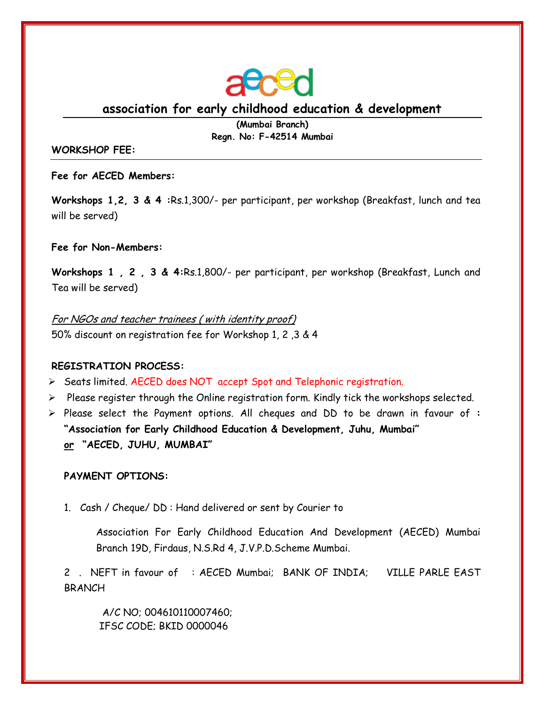

**association for early childhood education & development**

**(Mumbai Branch) Regn. No: F-42514 Mumbai**

## **WORKSHOP FEE:**

**Fee for AECED Members:**

**Workshops 1,2, 3 & 4 :**Rs.1,300/- per participant, per workshop (Breakfast, lunch and tea will be served)

# **Fee for Non-Members:**

**Workshops 1 , 2 , 3 & 4:**Rs.1,800/- per participant, per workshop (Breakfast, Lunch and Tea will be served)

For NGOs and teacher trainees ( with identity proof) 50% discount on registration fee for Workshop 1, 2 ,3 & 4

# **REGISTRATION PROCESS:**

- Seats limited. AECED does NOT accept Spot and Telephonic registration.
- $\triangleright$  Please register through the Online registration form. Kindly tick the workshops selected.
- Please select the Payment options. All cheques and DD to be drawn in favour of **: "Association for Early Childhood Education & Development, Juhu, Mumbai" or "AECED, JUHU, MUMBAI"**

# **PAYMENT OPTIONS:**

1. Cash / Cheque/ DD : Hand delivered or sent by Courier to

Association For Early Childhood Education And Development (AECED) Mumbai Branch 19D, Firdaus, N.S.Rd 4, J.V.P.D.Scheme Mumbai.

2 . NEFT in favour of : AECED Mumbai; BANK OF INDIA; VILLE PARLE EAST BRANCH

 A/C NO; 004610110007460; IFSC CODE; BKID 0000046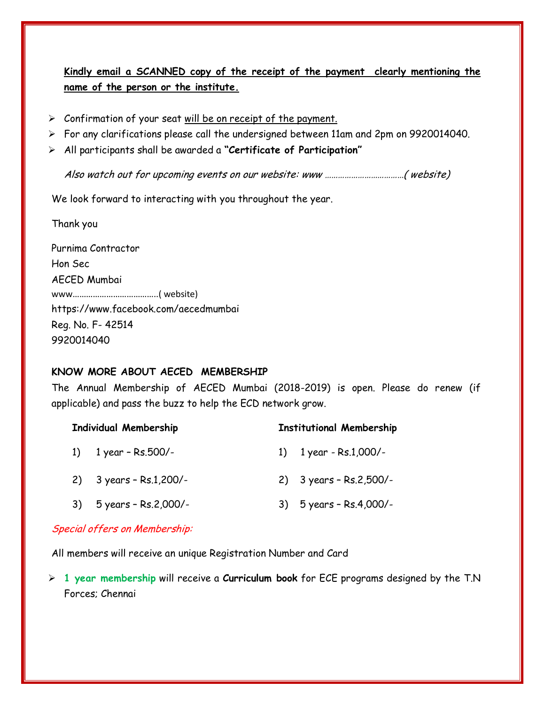**Kindly email a SCANNED copy of the receipt of the payment clearly mentioning the name of the person or the institute.**

- $\triangleright$  Confirmation of your seat will be on receipt of the payment.
- For any clarifications please call the undersigned between 11am and 2pm on 9920014040.
- All participants shall be awarded a **"Certificate of Participation"**

Also watch out for upcoming events on our website: www ………………………………( website)

We look forward to interacting with you throughout the year.

Thank you

Purnima Contractor Hon Sec AECED Mumbai www………………………………..( website) <https://www.facebook.com/aecedmumbai> Reg. No. F- 42514 9920014040

# **KNOW MORE ABOUT AECED MEMBERSHIP**

The Annual Membership of AECED Mumbai (2018-2019) is open. Please do renew (if applicable) and pass the buzz to help the ECD network grow.

| <b>Individual Membership</b> |                                          | <b>Institutional Membership</b> |                                          |
|------------------------------|------------------------------------------|---------------------------------|------------------------------------------|
|                              | 1) $1$ year - Rs.500/-                   |                                 | 1) $1$ year - Rs.1,000/-                 |
|                              | 2) $3 \text{ years} - \text{Rs}.1,200/-$ |                                 | 2) $3 \text{ years} - \text{Rs.}2,500/-$ |
| 3)                           | 5 years - Rs.2,000/-                     |                                 | 3) 5 years - Rs.4,000/-                  |

# Special offers on Membership:

All members will receive an unique Registration Number and Card

 **1 year membership** will receive a **Curriculum book** for ECE programs designed by the T.N Forces; Chennai